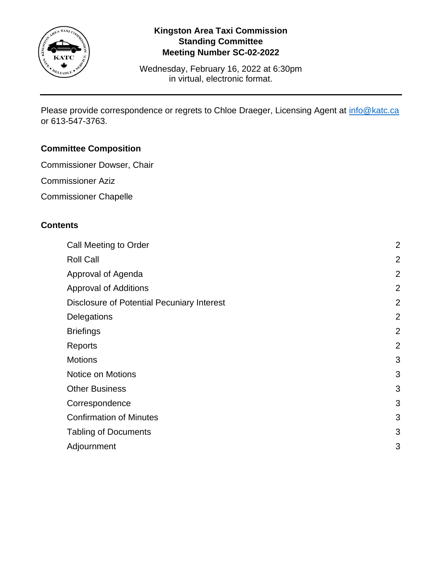

## **Kingston Area Taxi Commission Standing Committee Meeting Number SC-02-2022**

Wednesday, February 16, 2022 at 6:30pm in virtual, electronic format.

Please provide correspondence or regrets to Chloe Draeger, Licensing Agent at [info@katc.ca](mailto:info@katc.ca) or 613-547-3763.

# **Committee Composition**

- Commissioner Dowser, Chair
- Commissioner Aziz
- Commissioner Chapelle

## **Contents**

| Call Meeting to Order                             | $\overline{2}$ |
|---------------------------------------------------|----------------|
| <b>Roll Call</b>                                  | $\overline{2}$ |
| Approval of Agenda                                | $\overline{2}$ |
| <b>Approval of Additions</b>                      | $\overline{2}$ |
| <b>Disclosure of Potential Pecuniary Interest</b> | $\overline{2}$ |
| Delegations                                       | $\overline{2}$ |
| <b>Briefings</b>                                  | $\overline{2}$ |
| Reports                                           | $\overline{2}$ |
| <b>Motions</b>                                    | 3              |
| Notice on Motions                                 | 3              |
| <b>Other Business</b>                             | 3              |
| Correspondence                                    | 3              |
| <b>Confirmation of Minutes</b>                    | 3              |
| <b>Tabling of Documents</b>                       | 3              |
| Adjournment                                       | 3              |
|                                                   |                |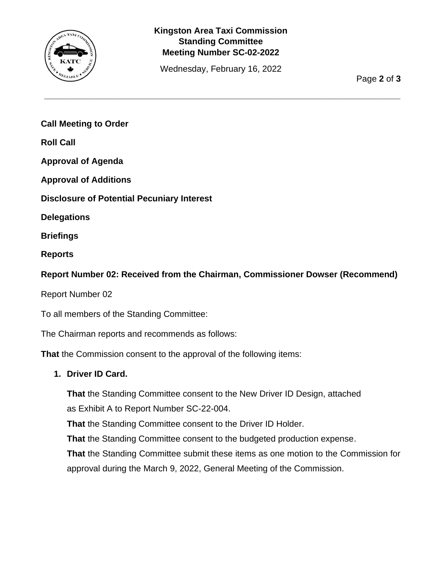

# **Kingston Area Taxi Commission Standing Committee Meeting Number SC-02-2022**

Wednesday, February 16, 2022

**\_\_\_\_\_\_\_\_\_\_\_\_\_\_\_\_\_\_\_\_\_\_\_\_\_\_\_\_\_\_\_\_\_\_\_\_\_\_\_\_\_\_\_\_\_\_\_\_\_\_\_\_\_\_\_\_\_\_\_\_\_\_\_\_\_\_\_\_\_\_\_\_\_\_**

Page **2** of **3**

<span id="page-1-0"></span>**Call Meeting to Order**

<span id="page-1-1"></span>**Roll Call**

<span id="page-1-2"></span>**Approval of Agenda**

<span id="page-1-3"></span>**Approval of Additions**

<span id="page-1-4"></span>**Disclosure of Potential Pecuniary Interest**

<span id="page-1-5"></span>**Delegations**

<span id="page-1-6"></span>**Briefings**

<span id="page-1-7"></span>**Reports**

**Report Number 02: Received from the Chairman, Commissioner Dowser (Recommend)**

Report Number 02

To all members of the Standing Committee:

The Chairman reports and recommends as follows:

**That** the Commission consent to the approval of the following items:

#### **1. Driver ID Card.**

**That** the Standing Committee consent to the New Driver ID Design, attached as Exhibit A to Report Number SC-22-004.

**That** the Standing Committee consent to the Driver ID Holder.

**That** the Standing Committee consent to the budgeted production expense.

**That** the Standing Committee submit these items as one motion to the Commission for approval during the March 9, 2022, General Meeting of the Commission.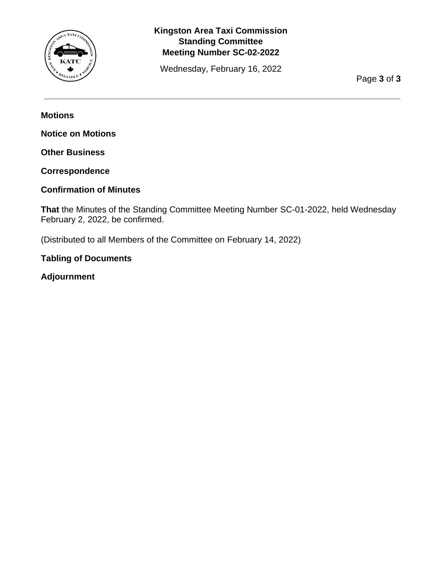

# **Kingston Area Taxi Commission Standing Committee Meeting Number SC-02-2022**

Wednesday, February 16, 2022

**\_\_\_\_\_\_\_\_\_\_\_\_\_\_\_\_\_\_\_\_\_\_\_\_\_\_\_\_\_\_\_\_\_\_\_\_\_\_\_\_\_\_\_\_\_\_\_\_\_\_\_\_\_\_\_\_\_\_\_\_\_\_\_\_\_\_\_\_\_\_\_\_\_\_**

Page **3** of **3**

<span id="page-2-0"></span>**Motions**

<span id="page-2-1"></span>**Notice on Motions**

<span id="page-2-2"></span>**Other Business**

<span id="page-2-3"></span>**Correspondence**

### <span id="page-2-4"></span>**Confirmation of Minutes**

**That** the Minutes of the Standing Committee Meeting Number SC-01-2022, held Wednesday February 2, 2022, be confirmed.

(Distributed to all Members of the Committee on February 14, 2022)

### <span id="page-2-5"></span>**Tabling of Documents**

<span id="page-2-6"></span>**Adjournment**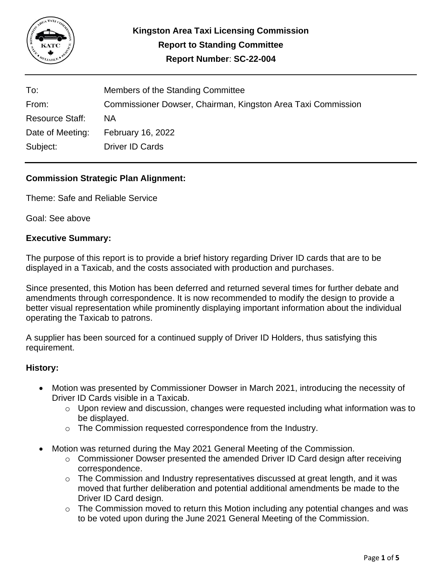

| To:                    | Members of the Standing Committee                            |
|------------------------|--------------------------------------------------------------|
| From:                  | Commissioner Dowser, Chairman, Kingston Area Taxi Commission |
| <b>Resource Staff:</b> | ΝA                                                           |
| Date of Meeting:       | <b>February 16, 2022</b>                                     |
| Subject:               | Driver ID Cards                                              |

### **Commission Strategic Plan Alignment:**

Theme: Safe and Reliable Service

Goal: See above

### **Executive Summary:**

The purpose of this report is to provide a brief history regarding Driver ID cards that are to be displayed in a Taxicab, and the costs associated with production and purchases.

Since presented, this Motion has been deferred and returned several times for further debate and amendments through correspondence. It is now recommended to modify the design to provide a better visual representation while prominently displaying important information about the individual operating the Taxicab to patrons.

A supplier has been sourced for a continued supply of Driver ID Holders, thus satisfying this requirement.

#### **History:**

- Motion was presented by Commissioner Dowser in March 2021, introducing the necessity of Driver ID Cards visible in a Taxicab.
	- o Upon review and discussion, changes were requested including what information was to be displayed.
	- o The Commission requested correspondence from the Industry.
- Motion was returned during the May 2021 General Meeting of the Commission.
	- $\circ$  Commissioner Dowser presented the amended Driver ID Card design after receiving correspondence.
	- $\circ$  The Commission and Industry representatives discussed at great length, and it was moved that further deliberation and potential additional amendments be made to the Driver ID Card design.
	- o The Commission moved to return this Motion including any potential changes and was to be voted upon during the June 2021 General Meeting of the Commission.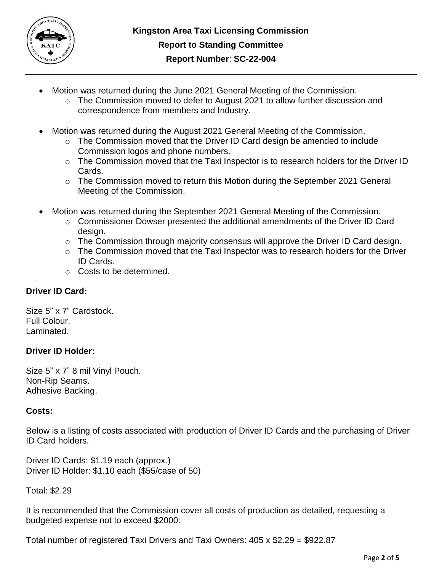

- Motion was returned during the June 2021 General Meeting of the Commission.
	- $\circ$  The Commission moved to defer to August 2021 to allow further discussion and correspondence from members and Industry.
- Motion was returned during the August 2021 General Meeting of the Commission.
	- o The Commission moved that the Driver ID Card design be amended to include Commission logos and phone numbers.
	- o The Commission moved that the Taxi Inspector is to research holders for the Driver ID Cards.
	- o The Commission moved to return this Motion during the September 2021 General Meeting of the Commission.
- Motion was returned during the September 2021 General Meeting of the Commission.
	- $\circ$  Commissioner Dowser presented the additional amendments of the Driver ID Card design.
	- o The Commission through majority consensus will approve the Driver ID Card design.
	- o The Commission moved that the Taxi Inspector was to research holders for the Driver ID Cards.
	- o Costs to be determined.

# **Driver ID Card:**

Size 5" x 7" Cardstock. Full Colour. Laminated.

### **Driver ID Holder:**

Size 5" x 7" 8 mil Vinyl Pouch. Non-Rip Seams. Adhesive Backing.

### **Costs:**

Below is a listing of costs associated with production of Driver ID Cards and the purchasing of Driver ID Card holders.

Driver ID Cards: \$1.19 each (approx.) Driver ID Holder: \$1.10 each (\$55/case of 50)

Total: \$2.29

It is recommended that the Commission cover all costs of production as detailed, requesting a budgeted expense not to exceed \$2000:

Total number of registered Taxi Drivers and Taxi Owners: 405 x \$2.29 = \$922.87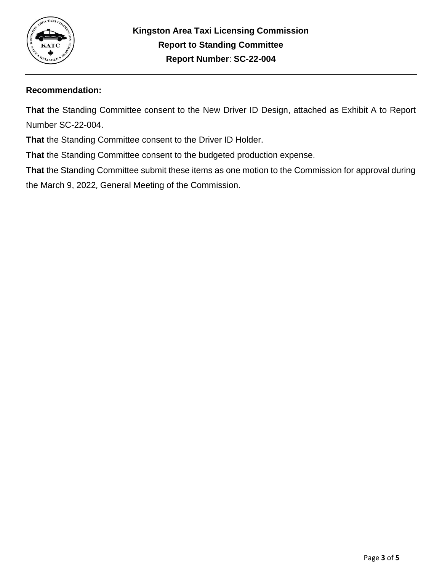

### **Recommendation:**

**That** the Standing Committee consent to the New Driver ID Design, attached as Exhibit A to Report Number SC-22-004.

**That** the Standing Committee consent to the Driver ID Holder.

**That** the Standing Committee consent to the budgeted production expense.

**That** the Standing Committee submit these items as one motion to the Commission for approval during the March 9, 2022, General Meeting of the Commission.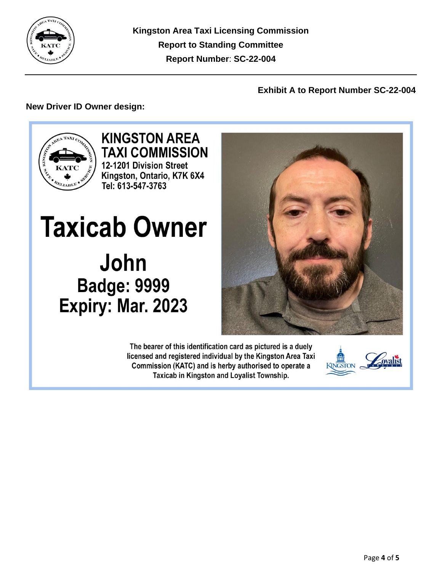

**Kingston Area Taxi Licensing Commission Report to Standing Committee Report Number**: **SC-22-004**

### **Exhibit A to Report Number SC-22-004**

## **New Driver ID Owner design:**



**KINGSTON AREA TAXI COMMISSION** 12-1201 Division Street Kingston, Ontario, K7K 6X4 Tel: 613-547-3763

**Taxicab Owner** John **Badge: 9999** Expiry: Mar. 2023

> The bearer of this identification card as pictured is a duely licensed and registered individual by the Kingston Area Taxi Commission (KATC) and is herby authorised to operate a Taxicab in Kingston and Loyalist Township.